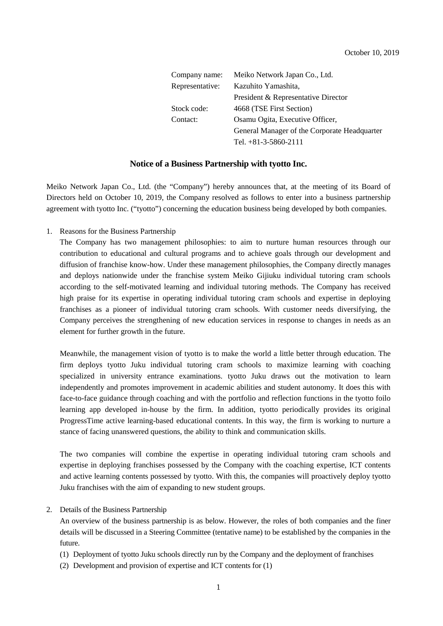| Company name:   | Meiko Network Japan Co., Ltd.                |
|-----------------|----------------------------------------------|
| Representative: | Kazuhito Yamashita,                          |
|                 | President & Representative Director          |
| Stock code:     | 4668 (TSE First Section)                     |
| Contact:        | Osamu Ogita, Executive Officer,              |
|                 | General Manager of the Corporate Headquarter |
|                 | Tel. $+81-3-5860-2111$                       |

#### **Notice of a Business Partnership with tyotto Inc.**

Meiko Network Japan Co., Ltd. (the "Company") hereby announces that, at the meeting of its Board of Directors held on October 10, 2019, the Company resolved as follows to enter into a business partnership agreement with tyotto Inc. ("tyotto") concerning the education business being developed by both companies.

1. Reasons for the Business Partnership

The Company has two management philosophies: to aim to nurture human resources through our contribution to educational and cultural programs and to achieve goals through our development and diffusion of franchise know-how. Under these management philosophies, the Company directly manages and deploys nationwide under the franchise system Meiko Gijiuku individual tutoring cram schools according to the self-motivated learning and individual tutoring methods. The Company has received high praise for its expertise in operating individual tutoring cram schools and expertise in deploying franchises as a pioneer of individual tutoring cram schools. With customer needs diversifying, the Company perceives the strengthening of new education services in response to changes in needs as an element for further growth in the future.

Meanwhile, the management vision of tyotto is to make the world a little better through education. The firm deploys tyotto Juku individual tutoring cram schools to maximize learning with coaching specialized in university entrance examinations. tyotto Juku draws out the motivation to learn independently and promotes improvement in academic abilities and student autonomy. It does this with face-to-face guidance through coaching and with the portfolio and reflection functions in the tyotto foilo learning app developed in-house by the firm. In addition, tyotto periodically provides its original ProgressTime active learning-based educational contents. In this way, the firm is working to nurture a stance of facing unanswered questions, the ability to think and communication skills.

The two companies will combine the expertise in operating individual tutoring cram schools and expertise in deploying franchises possessed by the Company with the coaching expertise, ICT contents and active learning contents possessed by tyotto. With this, the companies will proactively deploy tyotto Juku franchises with the aim of expanding to new student groups.

2. Details of the Business Partnership

An overview of the business partnership is as below. However, the roles of both companies and the finer details will be discussed in a Steering Committee (tentative name) to be established by the companies in the future.

- (1) Deployment of tyotto Juku schools directly run by the Company and the deployment of franchises
- (2) Development and provision of expertise and ICT contents for (1)